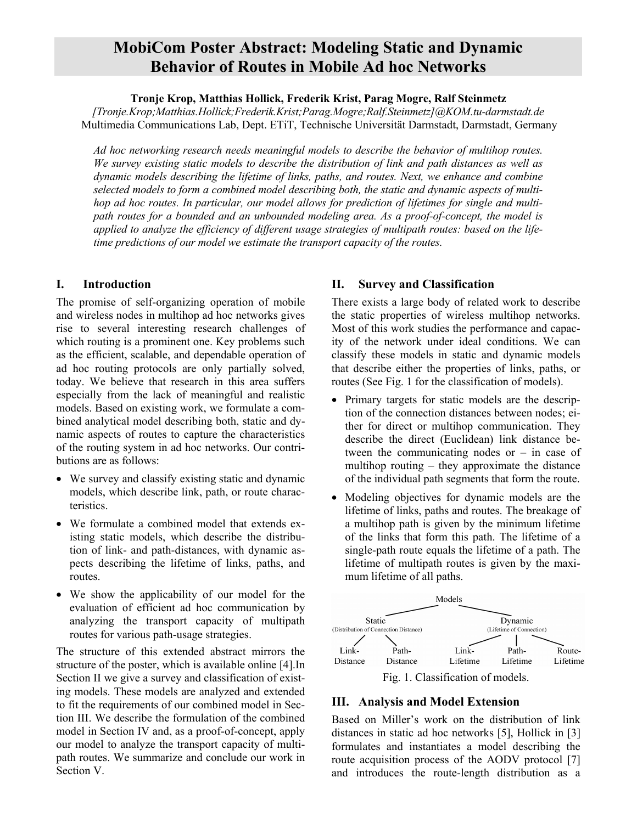# **MobiCom Poster Abstract: Modeling Static and Dynamic Behavior of Routes in Mobile Ad hoc Networks**

**Tronje Krop, Matthias Hollick, Frederik Krist, Parag Mogre, Ralf Steinmetz** 

*[Tronje.Krop;Matthias.Hollick;Frederik.Krist;Parag.Mogre;Ralf.Steinmetz]@KOM.tu-darmstadt.de* Multimedia Communications Lab, Dept. ETiT, Technische Universität Darmstadt, Darmstadt, Germany

*Ad hoc networking research needs meaningful models to describe the behavior of multihop routes. We survey existing static models to describe the distribution of link and path distances as well as dynamic models describing the lifetime of links, paths, and routes. Next, we enhance and combine selected models to form a combined model describing both, the static and dynamic aspects of multihop ad hoc routes. In particular, our model allows for prediction of lifetimes for single and multipath routes for a bounded and an unbounded modeling area. As a proof-of-concept, the model is applied to analyze the efficiency of different usage strategies of multipath routes: based on the lifetime predictions of our model we estimate the transport capacity of the routes.* 

## **I. Introduction**

The promise of self-organizing operation of mobile and wireless nodes in multihop ad hoc networks gives rise to several interesting research challenges of which routing is a prominent one. Key problems such as the efficient, scalable, and dependable operation of ad hoc routing protocols are only partially solved, today. We believe that research in this area suffers especially from the lack of meaningful and realistic models. Based on existing work, we formulate a combined analytical model describing both, static and dynamic aspects of routes to capture the characteristics of the routing system in ad hoc networks. Our contributions are as follows:

- We survey and classify existing static and dynamic models, which describe link, path, or route characteristics.
- We formulate a combined model that extends existing static models, which describe the distribution of link- and path-distances, with dynamic aspects describing the lifetime of links, paths, and routes.
- We show the applicability of our model for the evaluation of efficient ad hoc communication by analyzing the transport capacity of multipath routes for various path-usage strategies.

The structure of this extended abstract mirrors the structure of the poster, which is available online [4].In Section II we give a survey and classification of existing models. These models are analyzed and extended to fit the requirements of our combined model in Section III. We describe the formulation of the combined model in Section IV and, as a proof-of-concept, apply our model to analyze the transport capacity of multipath routes. We summarize and conclude our work in Section V.

## **II. Survey and Classification**

There exists a large body of related work to describe the static properties of wireless multihop networks. Most of this work studies the performance and capacity of the network under ideal conditions. We can classify these models in static and dynamic models that describe either the properties of links, paths, or routes (See Fig. 1 for the classification of models).

- Primary targets for static models are the description of the connection distances between nodes; either for direct or multihop communication. They describe the direct (Euclidean) link distance between the communicating nodes or – in case of multihop routing – they approximate the distance of the individual path segments that form the route.
- Modeling objectives for dynamic models are the lifetime of links, paths and routes. The breakage of a multihop path is given by the minimum lifetime of the links that form this path. The lifetime of a single-path route equals the lifetime of a path. The lifetime of multipath routes is given by the maximum lifetime of all paths.



## **III. Analysis and Model Extension**

Based on Miller's work on the distribution of link distances in static ad hoc networks [5], Hollick in [3] formulates and instantiates a model describing the route acquisition process of the AODV protocol [7] and introduces the route-length distribution as a